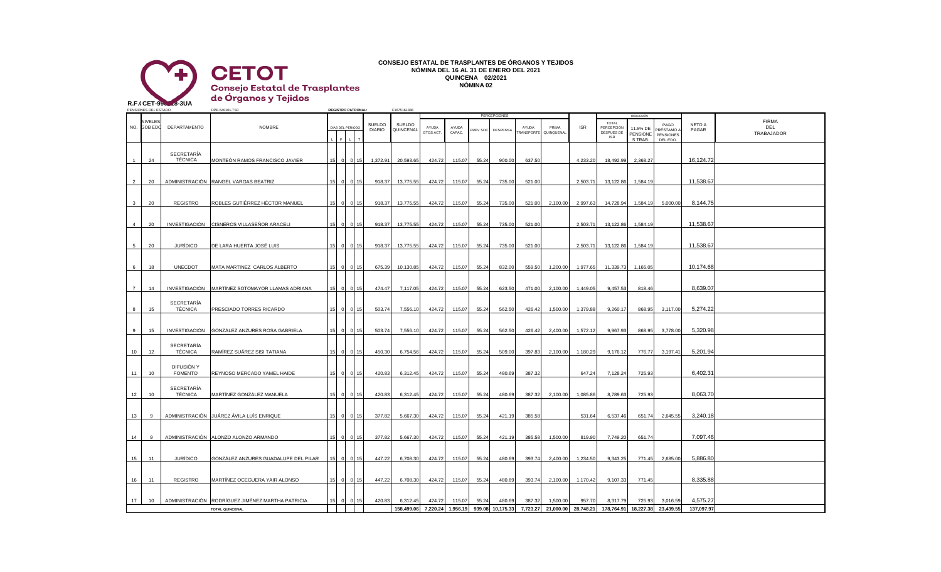

## **CONSEJO ESTATAL DE TRASPLANTES DE ÓRGANOS Y TEJIDOS NÓMINA DEL 16 AL 31 DE ENERO DEL 2021 QUINCENA 02/2021 NÓMINA 02**

PENSIONES DEL ESTADO DPE-540101-TS0 **REGISTRO PATRONAL:** C1675161388 NIVELES I DE LA LONGIA DE LA LONGIA DE LA LONGIA DE LA LONGIA DE LA LONGIA DE LA LONGIA DE LA LONGIA DE LA LONGIA DE LA LONGIA DE LA LONGIA DE LA LONGIA DE LA LONGIA DE LA LONGIA DE LA LONGIA DE LA LONGIA DE LA LONGIA DE L GOB EDO DEPARTAMENTO NOMBRE I DÍAS DEL PERIODO UNELLO UNIVERSAL AYUDA AYUDA AVUDA PRIMA I AVUDA PRIMA I SR PERCEPCIÓN 11.5% DE DECETAMO A DACAD DEL COMBRE L F L T TRABAJADOR 24 SECRETARÍA<br>TÉCNICA MONTEÓN RAMOS FRANCISCO JAVIER 15 0 0 15 1,372.91 20,593.65 424.72 115.07 55.24 900.00 637.50 4233.20 18,492.99 2,368.27 16,124.72 2 20 ADMINISTRACIÓN RANGEL VARGAS BEATRIZ 15 0 0 15 918.37 13,775.55 424.72 115.07 55.24 735.00 521.00 2,503.71 13,122.86 1,584.19 11,538.67 3 20 REGISTRO ROBLES GUTIÉRREZ HÉCTOR MANUEL 15 0 0 15 918.37 13,775.55 424.72 115.07 55.24 735.00 521.00 2,100.00 2,997.63 14,728.94 1,584.19 5,000.00 8,144.75 4 20 INVESTIGACIÓN CISNEROS VILLASEÑOR ARACELI 15 0 0 15 918.37 13,775.55 424.72 115.07 55.24 735.00 521.00 2,503.71 13,122.86 1,584.19 11,538.67 5 20 JURÍDICO DE LARA HUERTA JOSÉ LUIS | 15 0 0 15 918.37 13,775.55 424.72 115.07 55.24 735.00 521.00 | 2,503.71 13,122.86 1,584.19 | 11,538.67 6 18 UNECDOT MATA MARTINEZ CARLOS ALBERTO 15 0 0 15 675.39 10,130.85 424.72 115.07 55.24 832.00 559.50 1,200.00 1,977.65 11,339.73 1,165.05 10,174.68 7 14 INVESTIGACIÓN MARTÍNEZ SOTOMAYOR LLAMAS ADRIANA 15 0 0 15 474.47 7,117.05 424.72 115.07 55.24 623.50 471.00 2,100.00 1,449.05 9,457.53 818.46 8,639.07 8 15 SECRETARÍA<br>TÉCNICA PRESCIADO TORRES RICARDO 15 15 0 0 15 503.74 7,556.10 424.72 115.07 55.24 562.50 426.42 1,500.00 1,379.88 9,260.17 868.95 3,117.00 5,274.22 9 15 INVESTIGACIÓN GONZÁLEZ ANZURES ROSA GABRIELA 15 0 0 15 503.74 7,556.10 424.72 115.07 55.24 562.50 426.42 2,400.00 1,572.12 9,967.93 868.95 3,778.00 5,320.98 10 12 SECRETARÍA<br>TÉCNICA TÉCNICA RAMÍREZ SUÁREZ SISI TATIANA 15 0 0 15 450.30 6,754.56 424.72 115.07 55.24 509.00 397.83 2,100.00 1,180.29 9,176.12 776.77 3,197.41 5,201.94 11 10 DIFUSIÓN Y<br>FOMENTO REYNOSO MERCADO YAMEL HAIDE | 15 | 0 | 15 | 420.83 | 6,312.45 | 424.72 | 115.07 | 55.24 | 480.69 | 387.32 | 647.24 | 7,128.24 | 725.93 | 6,402.31 12 10 SECRETARÍA<br>TÉCNICA TARTÍNEZ GONZÁLEZ MANUELA | 15 | 0 | 15 | 420.83 | 6,312.45 | 424.72 | 115.07 | 55.24 | 480.69 | 387.32 | 2,100.00 | 1,085.86 | 8,789.63 | 725.93 | 8,063.70 13 9 ADMINISTRACIÓN JUÁREZ ÁVILA LUÍS ENRIQUE 15 0 0 15 377.82 5,667.30 424.72 115.07 55.24 421.19 385.58 531.64 6,537.46 651.74 2,645.55 3,240.18 14 9 ADMINISTRACIÓN ALONZO ALONZO ARMANDO 15 0 0 15 377.82 5,667.30 424.72 115.07 55.24 421.19 385.58 1,500.00 819.90 7,749.20 651.74 7,097.46 15 11 JURÍDICO GONZÁLEZ ANZURES GUADALUPE DEL PILAR 15 0 0 15 447.22 6,708.30 424.72 115.07 55.24 480.69 393.74 2,400.00 1,234.50 9,343.25 771.45 2,685.00 5,886.80 16 11 REGISTRO MARTÍNEZ OCEGUERA YAIR ALONSO 15 0 0 15 447.22 6,708.30 424.72 115.07 55.24 480.69 393.74 2,100.00 1,170.42 9,107.33 771.45 8,335.88 17 10 ADMINISTRACIÓN RODRÍGUEZ JIMÉNEZ MARTHA PATRICIA 15 0 0 15 420.83 6,312.45 424.72 115.07 55.24 480.69 387.32 1,500.00 957.70 8,317.79 725.93 3,016.59 4,575.27 **TOTAL QUINCENAL 158,499.06 7,220.24 1,956.19 939.08 10,175.33 7,723.27 21,000.00 28,748.21 178,764.91 18,227.38 23,439.55 137,097.97** AYUDA TRANSPORTE AYUDA GTOS ACT. SUELDO<br>DIARIO DEPARTAMENTO **DEPARTAMENTO** DIARIO DEL PERIODO DIARIO OULLEVAL ATOMA ANUDA PREV SOC CAPAC. ISR PERCEPCIONES **DESPENS** SUELDO **QUINCENAL** DEDUCCIÓN 11.5% DE PENSIONE S TRAB. PAGO PRÉSTAMO A PENSIONES DEL EDO. NETO A PAGAR TOTAL **PERCEPCIÓN** DESPUES DE ISR NO. GOBEDO DEPARTAMENTO NINDA NOMBRE DIAS DEL PERIODO DEL POLADO DE LA POLADO ANDENA EN AYUDA AYUDA ARTUGO A PRIMA **JINQUENA**